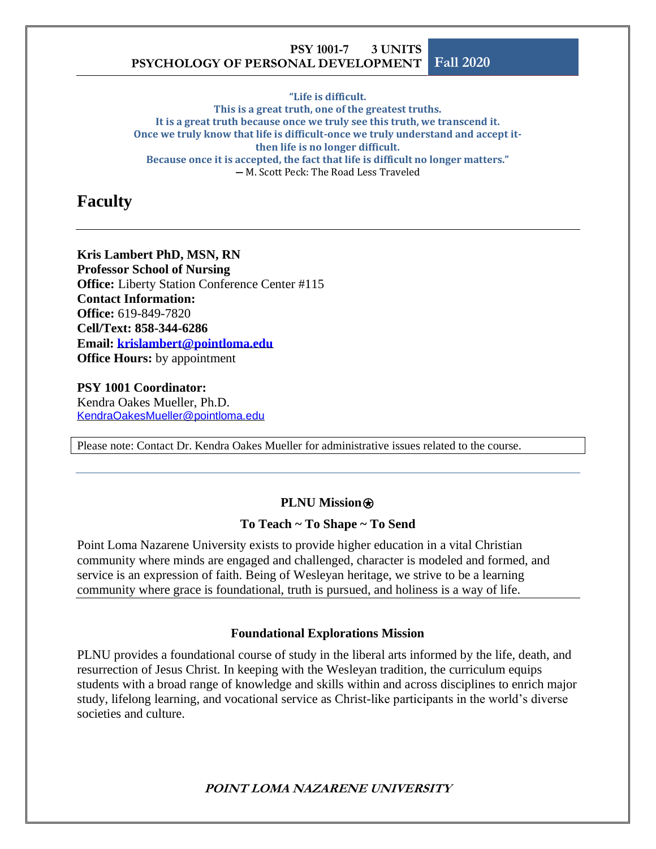**"Life is difficult. This is a great truth, one of the greatest truths. It is a great truth because once we truly see this truth, we transcend it. Once we truly know that life is difficult-once we truly understand and accept itthen life is no longer difficult. Because once it is accepted, the fact that life is difficult no longer matters." ―** M. Scott Peck: The Road Less Traveled

## **Faculty**

#### **Kris Lambert PhD, MSN, RN Professor School of Nursing Office:** Liberty Station Conference Center #115 **Contact Information: Office:** 619-849-7820 **Cell/Text: 858-344-6286 Email: [krislambert@pointloma.edu](mailto:krislambert@pointloma.edu) Office Hours:** by appointment

**PSY 1001 Coordinator:** Kendra Oakes Mueller, Ph.D. [KendraOakesMueller@pointloma.edu](mailto:KendraOakesMueller@pointloma.edu)

Please note: Contact Dr. Kendra Oakes Mueller for administrative issues related to the course.

#### **PLNU Mission**<sup></sup>

#### **To Teach ~ To Shape ~ To Send**

Point Loma Nazarene University exists to provide higher education in a vital Christian community where minds are engaged and challenged, character is modeled and formed, and service is an expression of faith. Being of Wesleyan heritage, we strive to be a learning community where grace is foundational, truth is pursued, and holiness is a way of life.

#### **Foundational Explorations Mission**

PLNU provides a foundational course of study in the liberal arts informed by the life, death, and resurrection of Jesus Christ. In keeping with the Wesleyan tradition, the curriculum equips students with a broad range of knowledge and skills within and across disciplines to enrich major study, lifelong learning, and vocational service as Christ-like participants in the world's diverse societies and culture.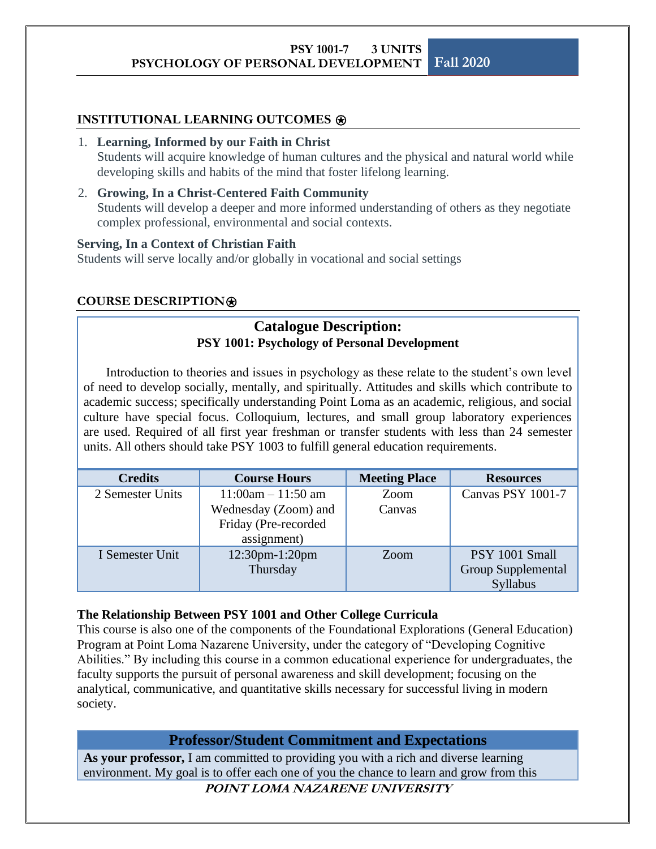#### **INSTITUTIONAL LEARNING OUTCOMES**  $\circledast$

#### 1. **Learning, Informed by our Faith in Christ**

Students will acquire knowledge of human cultures and the physical and natural world while developing skills and habits of the mind that foster lifelong learning.

#### 2. **Growing, In a Christ-Centered Faith Community**

Students will develop a deeper and more informed understanding of others as they negotiate complex professional, environmental and social contexts.

#### **Serving, In a Context of Christian Faith**

Students will serve locally and/or globally in vocational and social settings

#### **COURSE DESCRIPTION**⍟

## **Catalogue Description: PSY 1001: Psychology of Personal Development**

Introduction to theories and issues in psychology as these relate to the student's own level of need to develop socially, mentally, and spiritually. Attitudes and skills which contribute to academic success; specifically understanding Point Loma as an academic, religious, and social culture have special focus. Colloquium, lectures, and small group laboratory experiences are used. Required of all first year freshman or transfer students with less than 24 semester units. All others should take PSY 1003 to fulfill general education requirements.

| <b>Credits</b>   | <b>Course Hours</b>     | <b>Meeting Place</b> | <b>Resources</b>   |
|------------------|-------------------------|----------------------|--------------------|
| 2 Semester Units | $11:00$ am $- 11:50$ am | Zoom                 | Canvas PSY 1001-7  |
|                  | Wednesday (Zoom) and    | Canvas               |                    |
|                  | Friday (Pre-recorded    |                      |                    |
|                  | assignment)             |                      |                    |
| I Semester Unit  | 12:30pm-1:20pm          |                      | PSY 1001 Small     |
|                  | Thursday                |                      | Group Supplemental |
|                  |                         |                      | Syllabus           |

#### **The Relationship Between PSY 1001 and Other College Curricula**

This course is also one of the components of the Foundational Explorations (General Education) Program at Point Loma Nazarene University, under the category of "Developing Cognitive Abilities." By including this course in a common educational experience for undergraduates, the faculty supports the pursuit of personal awareness and skill development; focusing on the analytical, communicative, and quantitative skills necessary for successful living in modern society.

#### **Professor/Student Commitment and Expectations**

**As your professor,** I am committed to providing you with a rich and diverse learning environment. My goal is to offer each one of you the chance to learn and grow from this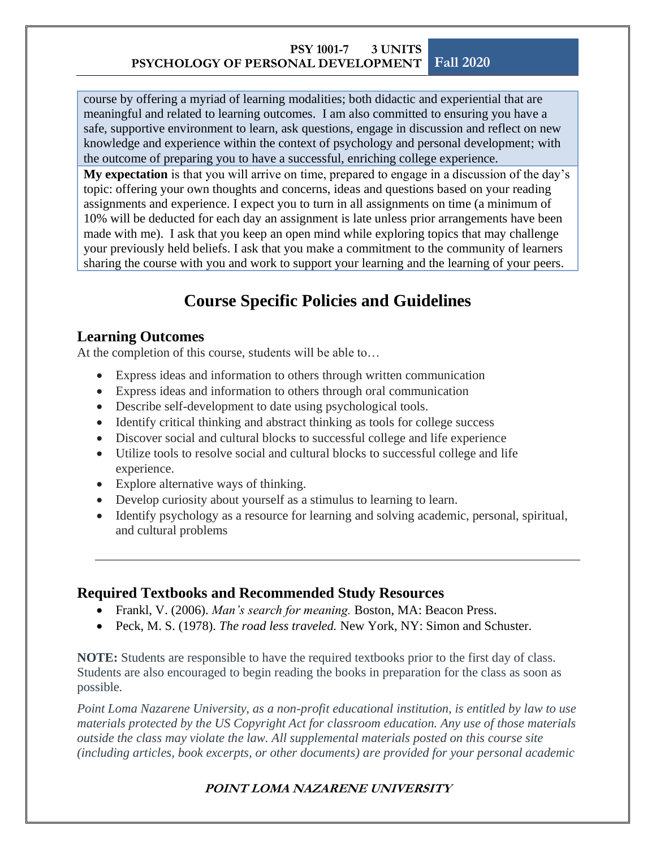course by offering a myriad of learning modalities; both didactic and experiential that are meaningful and related to learning outcomes. I am also committed to ensuring you have a safe, supportive environment to learn, ask questions, engage in discussion and reflect on new knowledge and experience within the context of psychology and personal development; with the outcome of preparing you to have a successful, enriching college experience.

**My expectation** is that you will arrive on time, prepared to engage in a discussion of the day's topic: offering your own thoughts and concerns, ideas and questions based on your reading assignments and experience. I expect you to turn in all assignments on time (a minimum of 10% will be deducted for each day an assignment is late unless prior arrangements have been made with me). I ask that you keep an open mind while exploring topics that may challenge your previously held beliefs. I ask that you make a commitment to the community of learners sharing the course with you and work to support your learning and the learning of your peers.

## **Course Specific Policies and Guidelines**

### **Learning Outcomes**

At the completion of this course, students will be able to…

- Express ideas and information to others through written communication
- Express ideas and information to others through oral communication
- Describe self-development to date using psychological tools.
- Identify critical thinking and abstract thinking as tools for college success
- Discover social and cultural blocks to successful college and life experience
- Utilize tools to resolve social and cultural blocks to successful college and life experience.
- Explore alternative ways of thinking.
- Develop curiosity about yourself as a stimulus to learning to learn.
- Identify psychology as a resource for learning and solving academic, personal, spiritual, and cultural problems

## **Required Textbooks and Recommended Study Resources**

- Frankl, V. (2006). *Man's search for meaning.* Boston, MA: Beacon Press.
- Peck, M. S. (1978). *The road less traveled.* New York, NY: Simon and Schuster.

**NOTE:** Students are responsible to have the required textbooks prior to the first day of class. Students are also encouraged to begin reading the books in preparation for the class as soon as possible.

*Point Loma Nazarene University, as a non-profit educational institution, is entitled by law to use materials protected by the US Copyright Act for classroom education. Any use of those materials outside the class may violate the law. All supplemental materials posted on this course site (including articles, book excerpts, or other documents) are provided for your personal academic*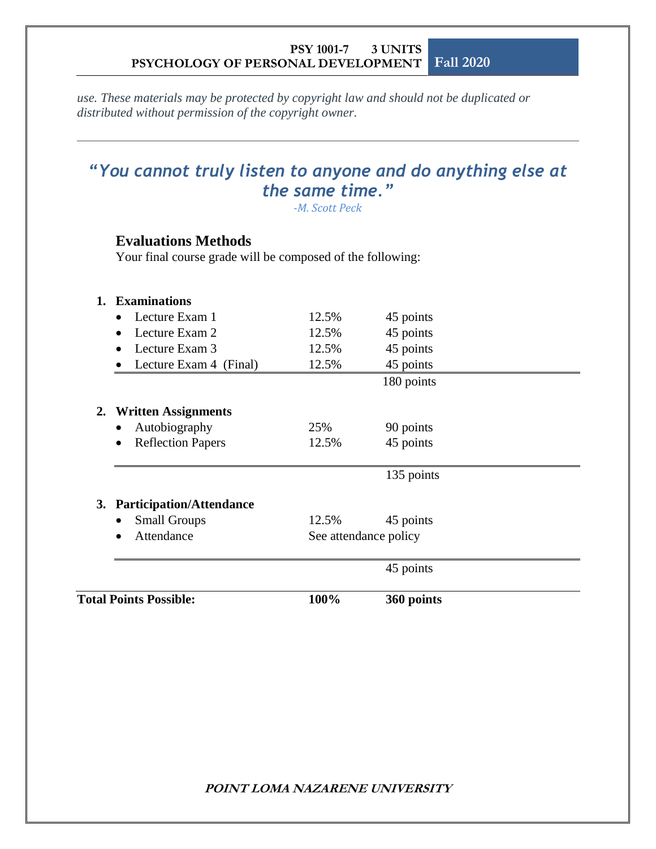*use. These materials may be protected by copyright law and should not be duplicated or distributed without permission of the copyright owner.*

## *"You cannot truly listen to anyone and do anything else at the same time."*

*-M. Scott Peck*

## **Evaluations Methods**

Your final course grade will be composed of the following:

| <b>Total Points Possible:</b>         | 100%  | 360 points            |  |
|---------------------------------------|-------|-----------------------|--|
|                                       |       | 45 points             |  |
| Attendance<br>$\bullet$               |       | See attendance policy |  |
| <b>Small Groups</b><br>$\bullet$      | 12.5% | 45 points             |  |
| 3. Participation/Attendance           |       |                       |  |
|                                       |       | 135 points            |  |
| <b>Reflection Papers</b><br>$\bullet$ | 12.5% | 45 points             |  |
| Autobiography<br>$\bullet$            | 25%   | 90 points             |  |
| 2. Written Assignments                |       |                       |  |
|                                       |       | 180 points            |  |
| Lecture Exam 4 (Final)                | 12.5% | 45 points             |  |
| Lecture Exam 3<br>$\bullet$           | 12.5% | 45 points             |  |
| Lecture Exam 2<br>$\bullet$           | 12.5% | 45 points             |  |
| Lecture Exam 1                        | 12.5% | 45 points             |  |
| 1. Examinations                       |       |                       |  |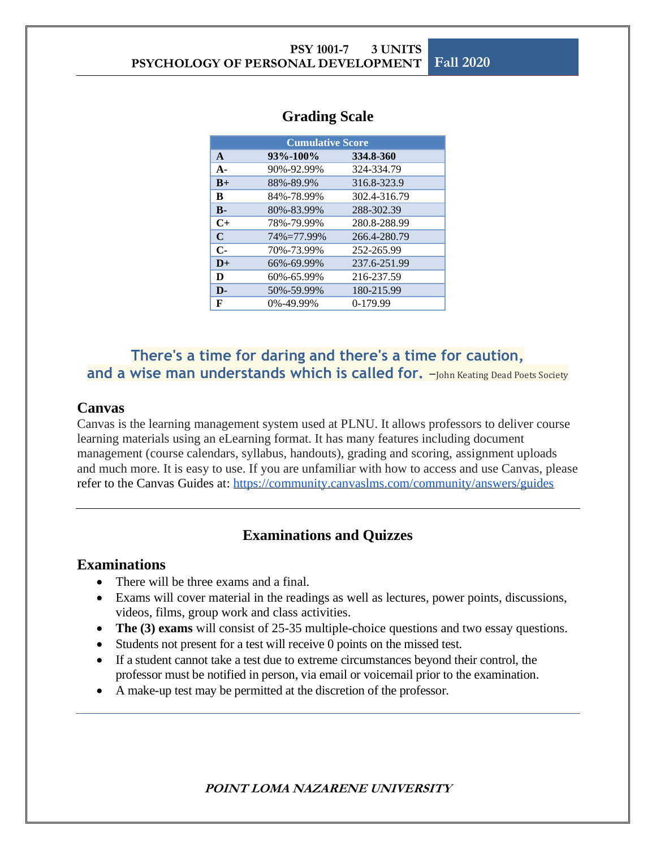| <b>Cumulative Score</b> |            |              |
|-------------------------|------------|--------------|
| $\mathbf{A}$            | 93%-100%   | 334.8-360    |
| $A -$                   | 90%-92.99% | 324-334.79   |
| $B+$                    | 88%-89.9%  | 316.8-323.9  |
| B                       | 84%-78.99% | 302.4-316.79 |
| $\mathbf{B}$            | 80%-83.99% | 288-302.39   |
| $C+$                    | 78%-79.99% | 280.8-288.99 |
| $\mathbf C$             | 74%=77.99% | 266.4-280.79 |
| $C-$                    | 70%-73.99% | 252-265.99   |
| $D+$                    | 66%-69.99% | 237.6-251.99 |
| D                       | 60%-65.99% | 216-237.59   |
| D-                      | 50%-59.99% | 180-215.99   |
| F                       | 0%-49.99%  | $0-179.99$   |

#### **Grading Scale**

## **There's a time for daring and there's a time for caution,**  and a wise man understands which is called for. -John Keating Dead Poets Society

#### **Canvas**

Canvas is the learning management system used at PLNU. It allows professors to deliver course learning materials using an eLearning format. It has many features including document management (course calendars, syllabus, handouts), grading and scoring, assignment uploads and much more. It is easy to use. If you are unfamiliar with how to access and use Canvas, please refer to the Canvas Guides at: <https://community.canvaslms.com/community/answers/guides>

## **Examinations and Quizzes**

#### **Examinations**

- There will be three exams and a final.
- Exams will cover material in the readings as well as lectures, power points, discussions, videos, films, group work and class activities.
- **The (3) exams** will consist of 25-35 multiple-choice questions and two essay questions.
- Students not present for a test will receive 0 points on the missed test.
- If a student cannot take a test due to extreme circumstances beyond their control, the professor must be notified in person, via email or voicemail prior to the examination.
- A make-up test may be permitted at the discretion of the professor.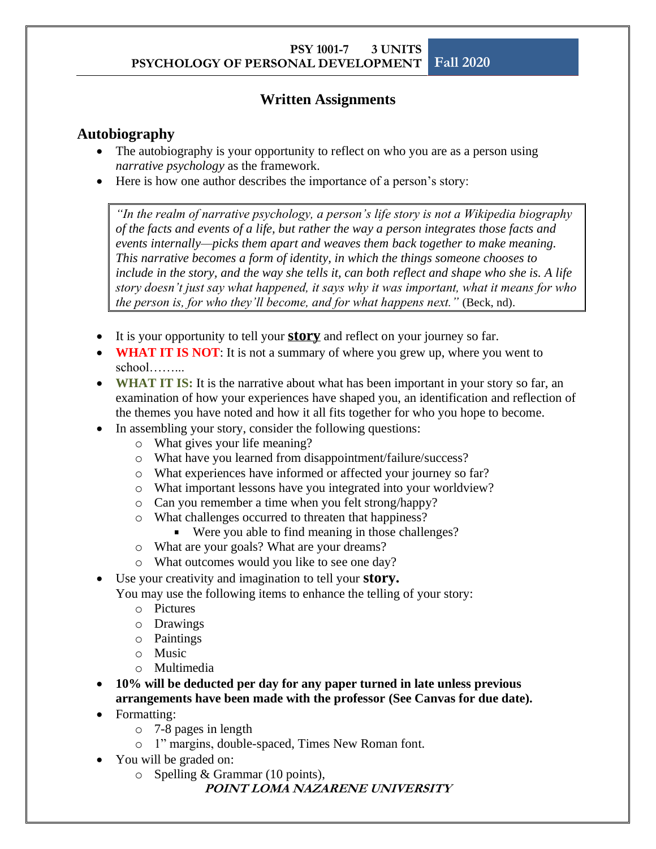## **Written Assignments**

### **Autobiography**

- The autobiography is your opportunity to reflect on who you are as a person using *narrative psychology* as the framework.
- Here is how one author describes the importance of a person's story:

*"In the realm of narrative psychology, a person's life story is not a Wikipedia biography of the facts and events of a life, but rather the way a person integrates those facts and events internally—picks them apart and weaves them back together to make meaning. This narrative becomes a form of identity, in which the things someone chooses to include in the story, and the way she tells it, can both reflect and shape who she is. A life story doesn't just say what happened, it says why it was important, what it means for who the person is, for who they'll become, and for what happens next."* (Beck, nd).

- It is your opportunity to tell your **story** and reflect on your journey so far.
- **WHAT IT IS NOT**: It is not a summary of where you grew up, where you went to school……...
- **WHAT IT IS:** It is the narrative about what has been important in your story so far, an examination of how your experiences have shaped you, an identification and reflection of the themes you have noted and how it all fits together for who you hope to become.
- In assembling your story, consider the following questions:
	- o What gives your life meaning?
	- o What have you learned from disappointment/failure/success?
	- o What experiences have informed or affected your journey so far?
	- o What important lessons have you integrated into your worldview?
	- o Can you remember a time when you felt strong/happy?
	- o What challenges occurred to threaten that happiness?
		- Were you able to find meaning in those challenges?
	- o What are your goals? What are your dreams?
	- o What outcomes would you like to see one day?
- Use your creativity and imagination to tell your **story.**

You may use the following items to enhance the telling of your story:

- o Pictures
- o Drawings
- o Paintings
- o Music
- o Multimedia
- **10% will be deducted per day for any paper turned in late unless previous arrangements have been made with the professor (See Canvas for due date).**
- Formatting:
	- o 7-8 pages in length
	- o 1" margins, double-spaced, Times New Roman font.
- You will be graded on:
	- o Spelling & Grammar (10 points),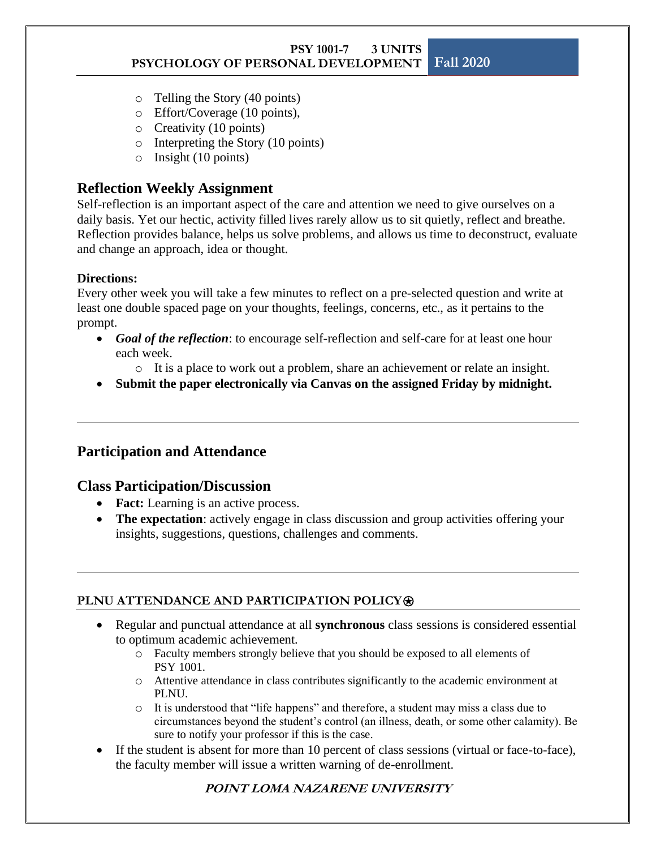- o Telling the Story (40 points)
- o Effort/Coverage (10 points),
- o Creativity (10 points)
- o Interpreting the Story (10 points)
- o Insight (10 points)

#### **Reflection Weekly Assignment**

Self-reflection is an important aspect of the care and attention we need to give ourselves on a daily basis. Yet our hectic, activity filled lives rarely allow us to sit quietly, reflect and breathe. Reflection provides balance, helps us solve problems, and allows us time to deconstruct, evaluate and change an approach, idea or thought.

#### **Directions:**

Every other week you will take a few minutes to reflect on a pre-selected question and write at least one double spaced page on your thoughts, feelings, concerns, etc., as it pertains to the prompt.

- *Goal of the reflection*: to encourage self-reflection and self-care for at least one hour each week.
	- o It is a place to work out a problem, share an achievement or relate an insight.
- **Submit the paper electronically via Canvas on the assigned Friday by midnight.**

#### **Participation and Attendance**

#### **Class Participation/Discussion**

- **Fact:** Learning is an active process.
- **The expectation**: actively engage in class discussion and group activities offering your insights, suggestions, questions, challenges and comments.

#### **PLNU ATTENDANCE AND PARTICIPATION POLICY**⍟

- Regular and punctual attendance at all **synchronous** class sessions is considered essential to optimum academic achievement.
	- o Faculty members strongly believe that you should be exposed to all elements of PSY 1001.
	- o Attentive attendance in class contributes significantly to the academic environment at PLNU.
	- o It is understood that "life happens" and therefore, a student may miss a class due to circumstances beyond the student's control (an illness, death, or some other calamity). Be sure to notify your professor if this is the case.
- If the student is absent for more than 10 percent of class sessions (virtual or face-to-face), the faculty member will issue a written warning of de-enrollment.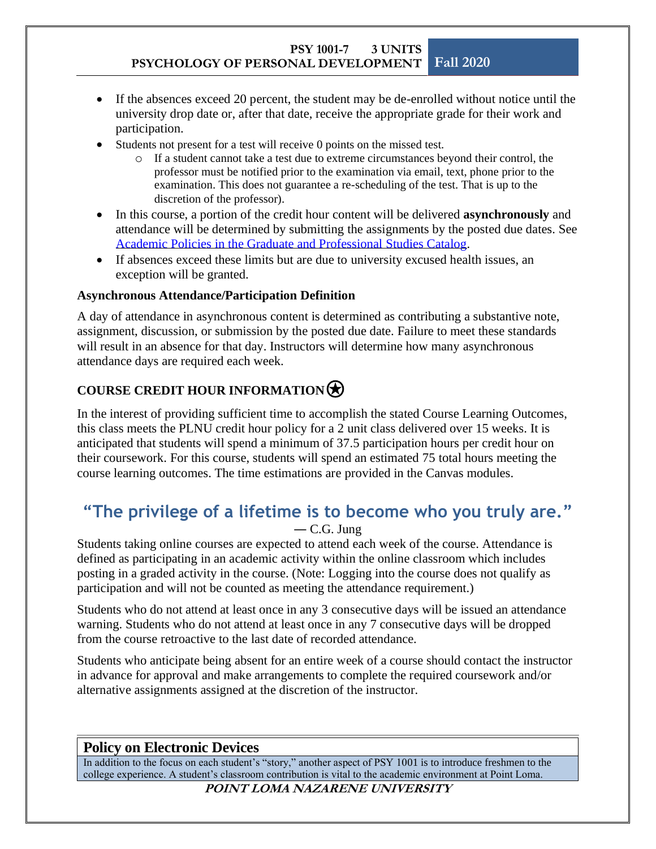- If the absences exceed 20 percent, the student may be de-enrolled without notice until the university drop date or, after that date, receive the appropriate grade for their work and participation.
- Students not present for a test will receive 0 points on the missed test.
	- o If a student cannot take a test due to extreme circumstances beyond their control, the professor must be notified prior to the examination via email, text, phone prior to the examination. This does not guarantee a re-scheduling of the test. That is up to the discretion of the professor).
- In this course, a portion of the credit hour content will be delivered **asynchronously** and attendance will be determined by submitting the assignments by the posted due dates. See [Academic Policies](https://catalog.pointloma.edu/content.php?catoid=48&navoid=2743#classattend) in the Graduate and Professional Studies Catalog.
- If absences exceed these limits but are due to university excused health issues, an exception will be granted.

#### **Asynchronous Attendance/Participation Definition**

A day of attendance in asynchronous content is determined as contributing a substantive note, assignment, discussion, or submission by the posted due date. Failure to meet these standards will result in an absence for that day. Instructors will determine how many asynchronous attendance days are required each week.

## **COURSE CREDIT HOUR INFORMATION**

In the interest of providing sufficient time to accomplish the stated Course Learning Outcomes, this class meets the PLNU credit hour policy for a 2 unit class delivered over 15 weeks. It is anticipated that students will spend a minimum of 37.5 participation hours per credit hour on their coursework. For this course, students will spend an estimated 75 total hours meeting the course learning outcomes. The time estimations are provided in the Canvas modules.

## **"The privilege of a lifetime is to become who you truly are."** ― [C.G. Jung](http://www.goodreads.com/author/show/38285.C_G_Jung)

Students taking online courses are expected to attend each week of the course. Attendance is defined as participating in an academic activity within the online classroom which includes posting in a graded activity in the course. (Note: Logging into the course does not qualify as participation and will not be counted as meeting the attendance requirement.)

Students who do not attend at least once in any 3 consecutive days will be issued an attendance warning. Students who do not attend at least once in any 7 consecutive days will be dropped from the course retroactive to the last date of recorded attendance.

Students who anticipate being absent for an entire week of a course should contact the instructor in advance for approval and make arrangements to complete the required coursework and/or alternative assignments assigned at the discretion of the instructor.

## **Policy on Electronic Devices**

In addition to the focus on each student's "story," another aspect of PSY 1001 is to introduce freshmen to the college experience. A student's classroom contribution is vital to the academic environment at Point Loma.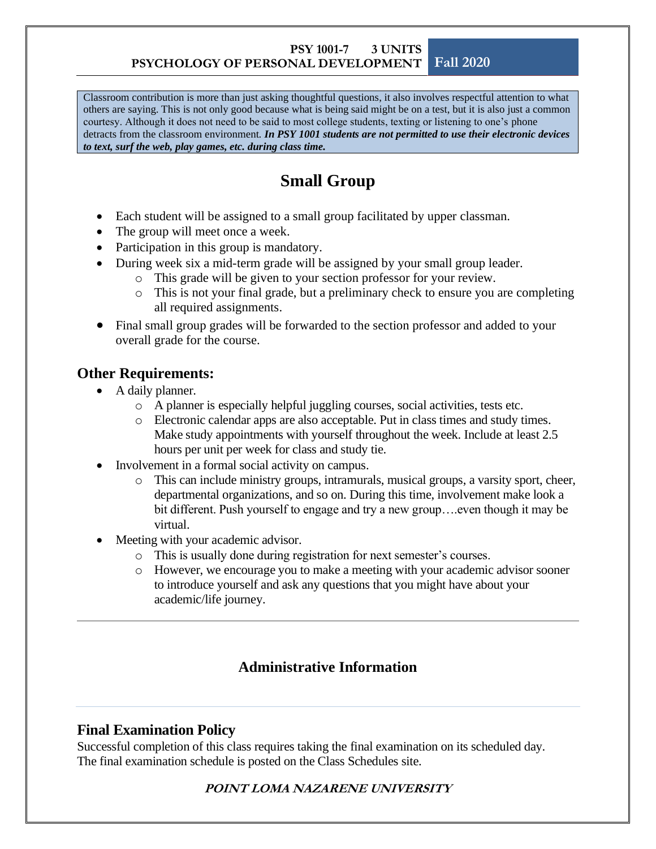Classroom contribution is more than just asking thoughtful questions, it also involves respectful attention to what others are saying. This is not only good because what is being said might be on a test, but it is also just a common courtesy. Although it does not need to be said to most college students, texting or listening to one's phone detracts from the classroom environment*. In PSY 1001 students are not permitted to use their electronic devices to text, surf the web, play games, etc. during class time.* 

## **Small Group**

- Each student will be assigned to a small group facilitated by upper classman.
- The group will meet once a week.
- Participation in this group is mandatory.
- During week six a mid-term grade will be assigned by your small group leader.
	- o This grade will be given to your section professor for your review.
	- o This is not your final grade, but a preliminary check to ensure you are completing all required assignments.
- Final small group grades will be forwarded to the section professor and added to your overall grade for the course.

## **Other Requirements:**

- A daily planner.
	- o A planner is especially helpful juggling courses, social activities, tests etc.
	- o Electronic calendar apps are also acceptable. Put in class times and study times. Make study appointments with yourself throughout the week. Include at least 2.5 hours per unit per week for class and study tie.
- Involvement in a formal social activity on campus.
	- o This can include ministry groups, intramurals, musical groups, a varsity sport, cheer, departmental organizations, and so on. During this time, involvement make look a bit different. Push yourself to engage and try a new group….even though it may be virtual.
- Meeting with your academic advisor.
	- o This is usually done during registration for next semester's courses.
	- o However, we encourage you to make a meeting with your academic advisor sooner to introduce yourself and ask any questions that you might have about your academic/life journey.

## **Administrative Information**

## **Final Examination Policy**

Successful completion of this class requires taking the final examination on its scheduled day. The final examination schedule is posted on the Class Schedules site.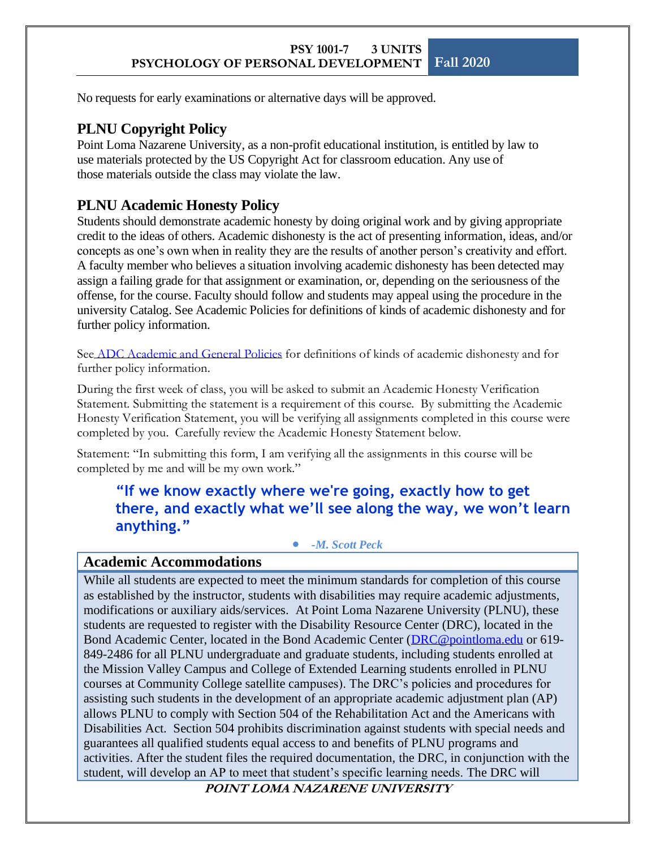No requests for early examinations or alternative days will be approved.

## **PLNU Copyright Policy**

Point Loma Nazarene University, as a non-profit educational institution, is entitled by law to use materials protected by the US Copyright Act for classroom education. Any use of those materials outside the class may violate the law.

## **PLNU Academic Honesty Policy**

Students should demonstrate academic honesty by doing original work and by giving appropriate credit to the ideas of others. Academic dishonesty is the act of presenting information, ideas, and/or concepts as one's own when in reality they are the results of another person's creativity and effort. A faculty member who believes a situation involving academic dishonesty has been detected may assign a failing grade for that assignment or examination, or, depending on the seriousness of the offense, for the course. Faculty should follow and students may appeal using the procedure in the university Catalog. See Academic Policies for definitions of kinds of academic dishonesty and for further policy information.

See [ADC Academic and General Policies](https://catalog.pointloma.edu/content.php?catoid=48&navoid=2757#Academic_Honesty) for definitions of kinds of academic dishonesty and for further policy information.

During the first week of class, you will be asked to submit an Academic Honesty Verification Statement. Submitting the statement is a requirement of this course. By submitting the Academic Honesty Verification Statement, you will be verifying all assignments completed in this course were completed by you. Carefully review the Academic Honesty Statement below.

Statement: "In submitting this form, I am verifying all the assignments in this course will be completed by me and will be my own work."

**"If we know exactly where we're going, exactly how to get there, and exactly what we'll see along the way, we won't learn anything."**

• *-M. Scott Peck*

## **Academic Accommodations**

While all students are expected to meet the minimum standards for completion of this course as established by the instructor, students with disabilities may require academic adjustments, modifications or auxiliary aids/services. At Point Loma Nazarene University (PLNU), these students are requested to register with the Disability Resource Center (DRC), located in the Bond Academic Center, located in the Bond Academic Center [\(DRC@pointloma.edu](mailto:DRC@pointloma.edu) or 619- 849-2486 for all PLNU undergraduate and graduate students, including students enrolled at the Mission Valley Campus and College of Extended Learning students enrolled in PLNU courses at Community College satellite campuses). The DRC's policies and procedures for assisting such students in the development of an appropriate academic adjustment plan (AP) allows PLNU to comply with Section 504 of the Rehabilitation Act and the Americans with Disabilities Act. Section 504 prohibits discrimination against students with special needs and guarantees all qualified students equal access to and benefits of PLNU programs and activities. After the student files the required documentation, the DRC, in conjunction with the student, will develop an AP to meet that student's specific learning needs. The DRC will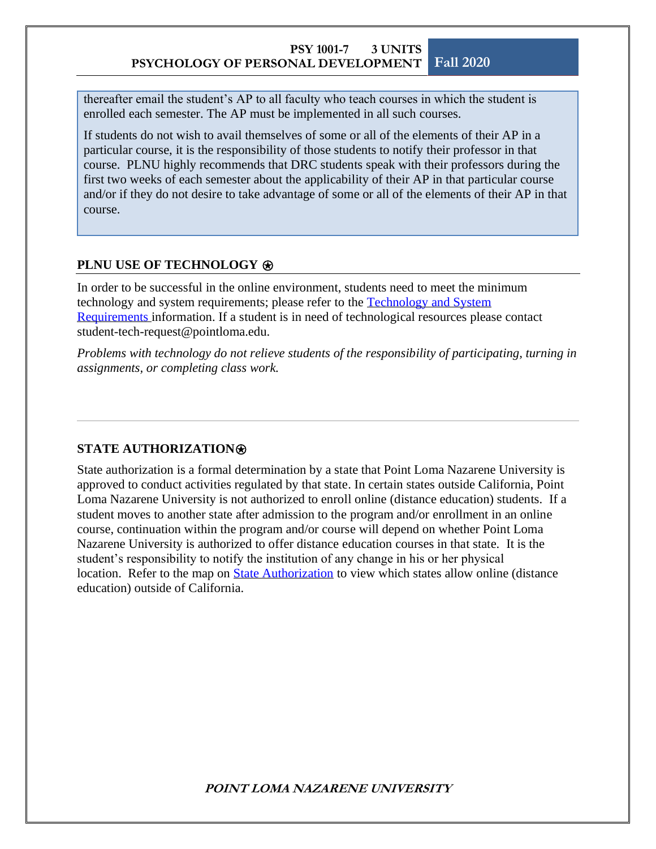thereafter email the student's AP to all faculty who teach courses in which the student is enrolled each semester. The AP must be implemented in all such courses.

If students do not wish to avail themselves of some or all of the elements of their AP in a particular course, it is the responsibility of those students to notify their professor in that course. PLNU highly recommends that DRC students speak with their professors during the first two weeks of each semester about the applicability of their AP in that particular course and/or if they do not desire to take advantage of some or all of the elements of their AP in that course.

#### **PLNU USE OF TECHNOLOGY**  $\otimes$

In order to be successful in the online environment, students need to meet the minimum technology and system requirements; please refer to the [Technology and System](https://help.pointloma.edu/TDClient/1808/Portal/KB/ArticleDet?ID=108349)  [Requirements](https://help.pointloma.edu/TDClient/1808/Portal/KB/ArticleDet?ID=108349) information. If a student is in need of technological resources please contact student-tech-request@pointloma.edu.

*Problems with technology do not relieve students of the responsibility of participating, turning in assignments, or completing class work.*

#### **STATE AUTHORIZATION**⍟

State authorization is a formal determination by a state that Point Loma Nazarene University is approved to conduct activities regulated by that state. In certain states outside California, Point Loma Nazarene University is not authorized to enroll online (distance education) students. If a student moves to another state after admission to the program and/or enrollment in an online course, continuation within the program and/or course will depend on whether Point Loma Nazarene University is authorized to offer distance education courses in that state. It is the student's responsibility to notify the institution of any change in his or her physical location. Refer to the map on **State Authorization** to view which states allow online (distance education) outside of California.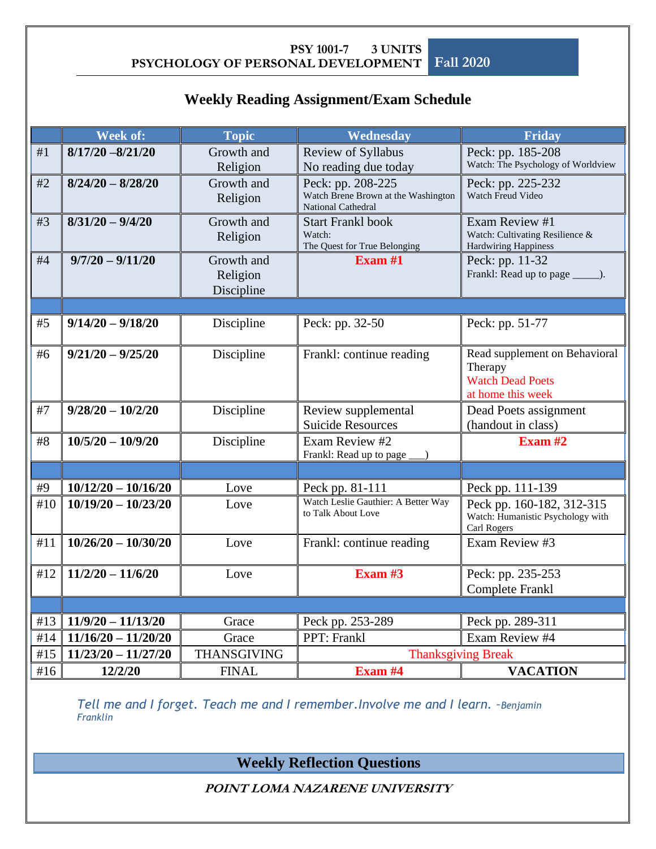## **Weekly Reading Assignment/Exam Schedule**

|     | Week of:                       | <b>Topic</b>                         | Wednesday                                                                             | Friday                                                                                   |
|-----|--------------------------------|--------------------------------------|---------------------------------------------------------------------------------------|------------------------------------------------------------------------------------------|
| #1  | $8/17/20 - 8/21/20$            | Growth and                           | Review of Syllabus                                                                    | Peck: pp. 185-208                                                                        |
|     |                                | Religion                             | No reading due today                                                                  | Watch: The Psychology of Worldview                                                       |
| #2  | $8/24/20 - 8/28/20$            | Growth and<br>Religion               | Peck: pp. 208-225<br>Watch Brene Brown at the Washington<br><b>National Cathedral</b> | Peck: pp. 225-232<br><b>Watch Freud Video</b>                                            |
| #3  | $8/31/20 - 9/4/20$             | Growth and<br>Religion               | <b>Start Frankl book</b><br>Watch:<br>The Quest for True Belonging                    | Exam Review #1<br>Watch: Cultivating Resilience &<br><b>Hardwiring Happiness</b>         |
| #4  | $9/7/20 - 9/11/20$             | Growth and<br>Religion<br>Discipline | Exam $#1$                                                                             | Peck: pp. 11-32<br>Frankl: Read up to page ______.                                       |
|     |                                |                                      |                                                                                       |                                                                                          |
| #5  | $9/14/20 - 9/18/20$            | Discipline                           | Peck: pp. 32-50                                                                       | Peck: pp. 51-77                                                                          |
| #6  | $9/21/20 - 9/25/20$            | Discipline                           | Frankl: continue reading                                                              | Read supplement on Behavioral<br>Therapy<br><b>Watch Dead Poets</b><br>at home this week |
| #7  | $9/28/20 - 10/2/20$            | Discipline                           | Review supplemental<br><b>Suicide Resources</b>                                       | Dead Poets assignment<br>(handout in class)                                              |
| #8  | $\overline{10/5}/20 - 10/9/20$ | Discipline                           | Exam Review #2<br>Frankl: Read up to page                                             | Exam $#2$                                                                                |
|     |                                |                                      |                                                                                       |                                                                                          |
| #9  | $10/12/20 - 10/16/20$          | Love                                 | Peck pp. 81-111                                                                       | Peck pp. 111-139                                                                         |
| #10 | $10/19/20 - 10/23/20$          | Love                                 | Watch Leslie Gauthier: A Better Way<br>to Talk About Love                             | Peck pp. 160-182, 312-315<br>Watch: Humanistic Psychology with<br>Carl Rogers            |
| #11 | $10/26/20 - 10/30/20$          | Love                                 | Frankl: continue reading                                                              | Exam Review #3                                                                           |
| #12 | $11/2/20 - 11/6/20$            | Love                                 | Exam $#3$                                                                             | Peck: pp. 235-253<br><b>Complete Frankl</b>                                              |
|     |                                |                                      |                                                                                       |                                                                                          |
| #13 | $11/9/20 - 11/13/20$           | Grace                                | Peck pp. 253-289                                                                      | Peck pp. 289-311                                                                         |
| #14 | $11/16/20 - 11/20/20$          | Grace                                | PPT: Frankl                                                                           | Exam Review #4                                                                           |
| #15 | $11/23/20 - 11/27/20$          | <b>THANSGIVING</b>                   | <b>Thanksgiving Break</b>                                                             |                                                                                          |
| #16 | 12/2/20                        | <b>FINAL</b>                         | Exam #4                                                                               | <b>VACATION</b>                                                                          |

*Tell me and I forget. Teach me and I remember. Involve me and I learn. -Benjamin Franklin*

**Weekly Reflection Questions**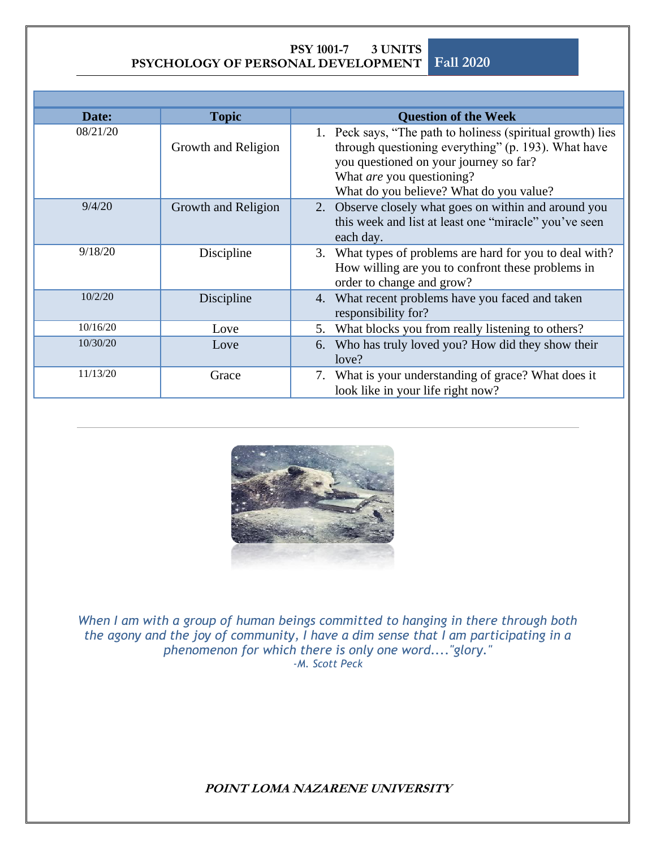| Date:    | <b>Topic</b>        | <b>Question of the Week</b>                                                                                                                                                                                                          |
|----------|---------------------|--------------------------------------------------------------------------------------------------------------------------------------------------------------------------------------------------------------------------------------|
| 08/21/20 | Growth and Religion | 1. Peck says, "The path to holiness (spiritual growth) lies<br>through questioning everything" (p. 193). What have<br>you questioned on your journey so far?<br>What are you questioning?<br>What do you believe? What do you value? |
| 9/4/20   | Growth and Religion | Observe closely what goes on within and around you<br>2.<br>this week and list at least one "miracle" you've seen<br>each day.                                                                                                       |
| 9/18/20  | Discipline          | 3. What types of problems are hard for you to deal with?<br>How willing are you to confront these problems in<br>order to change and grow?                                                                                           |
| 10/2/20  | Discipline          | 4. What recent problems have you faced and taken<br>responsibility for?                                                                                                                                                              |
| 10/16/20 | Love                | What blocks you from really listening to others?<br>5.                                                                                                                                                                               |
| 10/30/20 | Love                | 6. Who has truly loved you? How did they show their<br>love?                                                                                                                                                                         |
| 11/13/20 | Grace               | 7. What is your understanding of grace? What does it<br>look like in your life right now?                                                                                                                                            |



*When I am with a group of human beings committed to hanging in there through both the agony and the joy of community, I have a dim sense that I am participating in a phenomenon for which there is only one word...."glory." -M. Scott Peck*